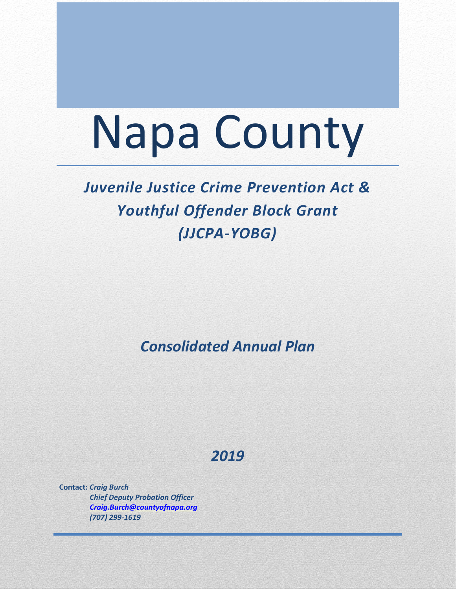# Napa County

## *Juvenile Justice Crime Prevention Act & Youthful Offender Block Grant (JJCPA-YOBG)*

*Consolidated Annual Plan*

## *2019*

**Contact:** *Craig Burch Chief Deputy Probation Officer [Craig.Burch@countyofnapa.org](mailto:Craig.Burch@countyofnapa.org) (707) 299-1619*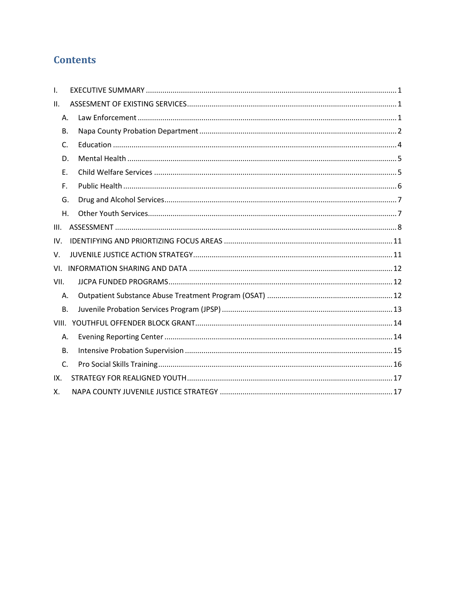## **Contents**

| I.             |  |  |  |  |  |  |
|----------------|--|--|--|--|--|--|
| ΙΙ.            |  |  |  |  |  |  |
| Α.             |  |  |  |  |  |  |
| <b>B.</b>      |  |  |  |  |  |  |
| $\mathsf{C}$ . |  |  |  |  |  |  |
| D.             |  |  |  |  |  |  |
| Ε.             |  |  |  |  |  |  |
| F.             |  |  |  |  |  |  |
| G.             |  |  |  |  |  |  |
| Η.             |  |  |  |  |  |  |
| III.           |  |  |  |  |  |  |
| IV.            |  |  |  |  |  |  |
| V.             |  |  |  |  |  |  |
| VI.            |  |  |  |  |  |  |
| VII.           |  |  |  |  |  |  |
| А.             |  |  |  |  |  |  |
| <b>B.</b>      |  |  |  |  |  |  |
|                |  |  |  |  |  |  |
| Α.             |  |  |  |  |  |  |
| <b>B.</b>      |  |  |  |  |  |  |
| C.             |  |  |  |  |  |  |
| IX.            |  |  |  |  |  |  |
| Х.             |  |  |  |  |  |  |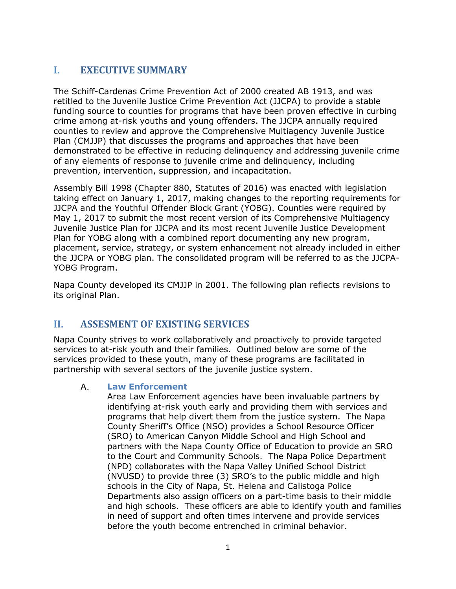## <span id="page-2-0"></span>**I. EXECUTIVE SUMMARY**

The Schiff-Cardenas Crime Prevention Act of 2000 created AB 1913, and was retitled to the Juvenile Justice Crime Prevention Act (JJCPA) to provide a stable funding source to counties for programs that have been proven effective in curbing crime among at-risk youths and young offenders. The JJCPA annually required counties to review and approve the Comprehensive Multiagency Juvenile Justice Plan (CMJJP) that discusses the programs and approaches that have been demonstrated to be effective in reducing delinquency and addressing juvenile crime of any elements of response to juvenile crime and delinquency, including prevention, intervention, suppression, and incapacitation.

Assembly Bill 1998 (Chapter 880, Statutes of 2016) was enacted with legislation taking effect on January 1, 2017, making changes to the reporting requirements for JJCPA and the Youthful Offender Block Grant (YOBG). Counties were required by May 1, 2017 to submit the most recent version of its Comprehensive Multiagency Juvenile Justice Plan for JJCPA and its most recent Juvenile Justice Development Plan for YOBG along with a combined report documenting any new program, placement, service, strategy, or system enhancement not already included in either the JJCPA or YOBG plan. The consolidated program will be referred to as the JJCPA-YOBG Program.

Napa County developed its CMJJP in 2001. The following plan reflects revisions to its original Plan.

## <span id="page-2-1"></span>**II. ASSESMENT OF EXISTING SERVICES**

Napa County strives to work collaboratively and proactively to provide targeted services to at-risk youth and their families. Outlined below are some of the services provided to these youth, many of these programs are facilitated in partnership with several sectors of the juvenile justice system.

#### <span id="page-2-2"></span>A. **Law Enforcement**

Area Law Enforcement agencies have been invaluable partners by identifying at-risk youth early and providing them with services and programs that help divert them from the justice system. The Napa County Sheriff's Office (NSO) provides a School Resource Officer (SRO) to American Canyon Middle School and High School and partners with the Napa County Office of Education to provide an SRO to the Court and Community Schools. The Napa Police Department (NPD) collaborates with the Napa Valley Unified School District (NVUSD) to provide three (3) SRO's to the public middle and high schools in the City of Napa, St. Helena and Calistoga Police Departments also assign officers on a part-time basis to their middle and high schools. These officers are able to identify youth and families in need of support and often times intervene and provide services before the youth become entrenched in criminal behavior.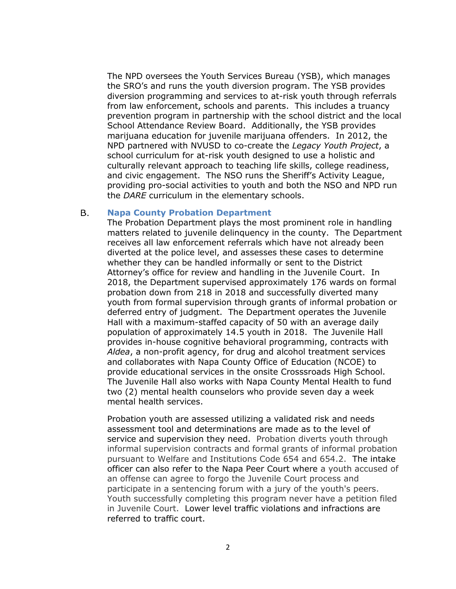The NPD oversees the Youth Services Bureau (YSB), which manages the SRO's and runs the youth diversion program. The YSB provides diversion programming and services to at-risk youth through referrals from law enforcement, schools and parents. This includes a truancy prevention program in partnership with the school district and the local School Attendance Review Board. Additionally, the YSB provides marijuana education for juvenile marijuana offenders. In 2012, the NPD partnered with NVUSD to co-create the *Legacy Youth Project*, a school curriculum for at-risk youth designed to use a holistic and culturally relevant approach to teaching life skills, college readiness, and civic engagement. The NSO runs the Sheriff's Activity League, providing pro-social activities to youth and both the NSO and NPD run the *DARE* curriculum in the elementary schools.

#### <span id="page-3-0"></span>**B. Napa County Probation Department**

The Probation Department plays the most prominent role in handling matters related to juvenile delinquency in the county. The Department receives all law enforcement referrals which have not already been diverted at the police level, and assesses these cases to determine whether they can be handled informally or sent to the District Attorney's office for review and handling in the Juvenile Court. In 2018, the Department supervised approximately 176 wards on formal probation down from 218 in 2018 and successfully diverted many youth from formal supervision through grants of informal probation or deferred entry of judgment. The Department operates the Juvenile Hall with a maximum-staffed capacity of 50 with an average daily population of approximately 14.5 youth in 2018. The Juvenile Hall provides in-house cognitive behavioral programming, contracts with *Aldea*, a non-profit agency, for drug and alcohol treatment services and collaborates with Napa County Office of Education (NCOE) to provide educational services in the onsite Crosssroads High School. The Juvenile Hall also works with Napa County Mental Health to fund two (2) mental health counselors who provide seven day a week mental health services.

Probation youth are assessed utilizing a validated risk and needs assessment tool and determinations are made as to the level of service and supervision they need. Probation diverts youth through informal supervision contracts and formal grants of informal probation pursuant to Welfare and Institutions Code 654 and 654.2. The intake officer can also refer to the Napa Peer Court where a youth accused of an offense can agree to forgo the Juvenile Court process and participate in a sentencing forum with a jury of the youth's peers. Youth successfully completing this program never have a petition filed in Juvenile Court. Lower level traffic violations and infractions are referred to traffic court.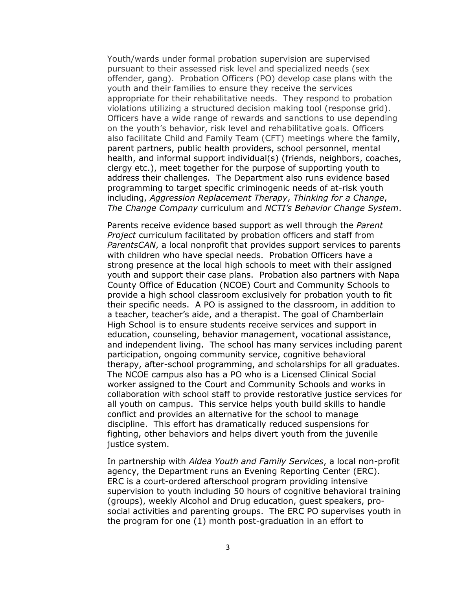Youth/wards under formal probation supervision are supervised pursuant to their assessed risk level and specialized needs (sex offender, gang). Probation Officers (PO) develop case plans with the youth and their families to ensure they receive the services appropriate for their rehabilitative needs. They respond to probation violations utilizing a structured decision making tool (response grid). Officers have a wide range of rewards and sanctions to use depending on the youth's behavior, risk level and rehabilitative goals. Officers also facilitate Child and Family Team (CFT) meetings where the family, parent partners, public health providers, school personnel, mental health, and informal support individual(s) (friends, neighbors, coaches, clergy etc.), meet together for the purpose of supporting youth to address their challenges. The Department also runs evidence based programming to target specific criminogenic needs of at-risk youth including, *Aggression Replacement Therapy*, *Thinking for a Change*, *The Change Company* curriculum and *NCTI's Behavior Change System*.

Parents receive evidence based support as well through the *Parent Project* curriculum facilitated by probation officers and staff from *ParentsCAN*, a local nonprofit that provides support services to parents with children who have special needs. Probation Officers have a strong presence at the local high schools to meet with their assigned youth and support their case plans. Probation also partners with Napa County Office of Education (NCOE) Court and Community Schools to provide a high school classroom exclusively for probation youth to fit their specific needs. A PO is assigned to the classroom, in addition to a teacher, teacher's aide, and a therapist. The goal of Chamberlain High School is to ensure students receive services and support in education, counseling, behavior management, vocational assistance, and independent living. The school has many services including parent participation, ongoing community service, cognitive behavioral therapy, after-school programming, and scholarships for all graduates. The NCOE campus also has a PO who is a Licensed Clinical Social worker assigned to the Court and Community Schools and works in collaboration with school staff to provide restorative justice services for all youth on campus. This service helps youth build skills to handle conflict and provides an alternative for the school to manage discipline. This effort has dramatically reduced suspensions for fighting, other behaviors and helps divert youth from the juvenile justice system.

In partnership with *Aldea Youth and Family Services*, a local non-profit agency, the Department runs an Evening Reporting Center (ERC). ERC is a court-ordered afterschool program providing intensive supervision to youth including 50 hours of cognitive behavioral training (groups), weekly Alcohol and Drug education, guest speakers, prosocial activities and parenting groups. The ERC PO supervises youth in the program for one (1) month post-graduation in an effort to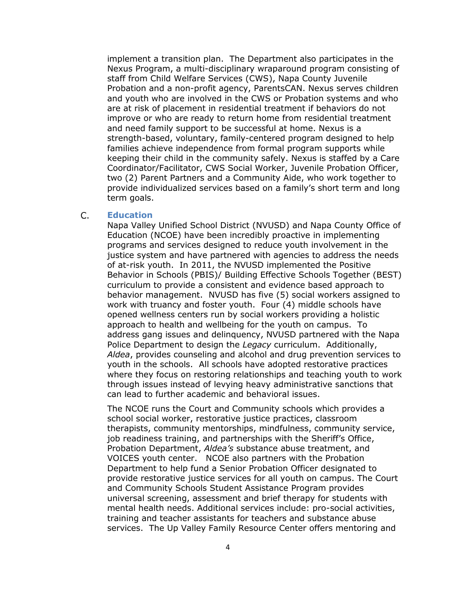implement a transition plan. The Department also participates in the Nexus Program, a multi-disciplinary wraparound program consisting of staff from Child Welfare Services (CWS), Napa County Juvenile Probation and a non-profit agency, ParentsCAN. Nexus serves children and youth who are involved in the CWS or Probation systems and who are at risk of placement in residential treatment if behaviors do not improve or who are ready to return home from residential treatment and need family support to be successful at home. Nexus is a strength-based, voluntary, family-centered program designed to help families achieve independence from formal program supports while keeping their child in the community safely. Nexus is staffed by a Care Coordinator/Facilitator, CWS Social Worker, Juvenile Probation Officer, two (2) Parent Partners and a Community Aide, who work together to provide individualized services based on a family's short term and long term goals.

#### <span id="page-5-0"></span> $\mathsf{C}$ . **Education**

Napa Valley Unified School District (NVUSD) and Napa County Office of Education (NCOE) have been incredibly proactive in implementing programs and services designed to reduce youth involvement in the justice system and have partnered with agencies to address the needs of at-risk youth. In 2011, the NVUSD implemented the Positive Behavior in Schools (PBIS)/ Building Effective Schools Together (BEST) curriculum to provide a consistent and evidence based approach to behavior management. NVUSD has five (5) social workers assigned to work with truancy and foster youth. Four (4) middle schools have opened wellness centers run by social workers providing a holistic approach to health and wellbeing for the youth on campus. To address gang issues and delinquency, NVUSD partnered with the Napa Police Department to design the *Legacy* curriculum. Additionally, *Aldea*, provides counseling and alcohol and drug prevention services to youth in the schools. All schools have adopted restorative practices where they focus on restoring relationships and teaching youth to work through issues instead of levying heavy administrative sanctions that can lead to further academic and behavioral issues.

The NCOE runs the Court and Community schools which provides a school social worker, restorative justice practices, classroom therapists, community mentorships, mindfulness, community service, job readiness training, and partnerships with the Sheriff's Office, Probation Department, *Aldea's* substance abuse treatment, and VOICES youth center. NCOE also partners with the Probation Department to help fund a Senior Probation Officer designated to provide restorative justice services for all youth on campus. The Court and Community Schools Student Assistance Program provides universal screening, assessment and brief therapy for students with mental health needs. Additional services include: pro-social activities, training and teacher assistants for teachers and substance abuse services. The Up Valley Family Resource Center offers mentoring and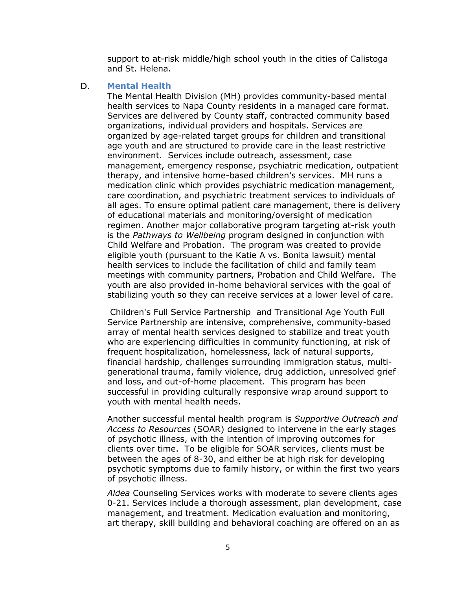support to at-risk middle/high school youth in the cities of Calistoga and St. Helena.

#### <span id="page-6-1"></span><span id="page-6-0"></span>D. **Mental Health**

The Mental Health Division (MH) provides community-based mental health services to Napa County residents in a managed care format. Services are delivered by County staff, contracted community based organizations, individual providers and hospitals. Services are organized by age-related target groups for children and transitional age youth and are structured to provide care in the least restrictive environment. Services include outreach, assessment, case management, emergency response, psychiatric medication, outpatient therapy, and intensive home-based children's services. MH runs a medication clinic which provides psychiatric medication management, care coordination, and psychiatric treatment services to individuals of all ages. To ensure optimal patient care management, there is delivery of educational materials and monitoring/oversight of medication regimen. Another major collaborative program targeting at-risk youth is the *Pathways to Wellbeing* program designed in conjunction with Child Welfare and Probation. The program was created to provide eligible youth (pursuant to the Katie A vs. Bonita lawsuit) mental health services to include the facilitation of child and family team meetings with community partners, Probation and Child Welfare. The youth are also provided in-home behavioral services with the goal of stabilizing youth so they can receive services at a lower level of care.

Children's Full Service Partnership and Transitional Age Youth Full Service Partnership are intensive, comprehensive, community-based array of mental health services designed to stabilize and treat youth who are experiencing difficulties in community functioning, at risk of frequent hospitalization, homelessness, lack of natural supports, financial hardship, challenges surrounding immigration status, multigenerational trauma, family violence, drug addiction, unresolved grief and loss, and out-of-home placement. This program has been successful in providing culturally responsive wrap around support to youth with mental health needs.

Another successful mental health program is *Supportive Outreach and Access to Resources* (SOAR) designed to intervene in the early stages of psychotic illness, with the intention of improving outcomes for clients over time. To be eligible for SOAR services, clients must be between the ages of 8-30, and either be at high risk for developing psychotic symptoms due to family history, or within the first two years of psychotic illness.

*Aldea* Counseling Services works with moderate to severe clients ages 0-21. Services include a thorough assessment, plan development, case management, and treatment. Medication evaluation and monitoring, art therapy, skill building and behavioral coaching are offered on an as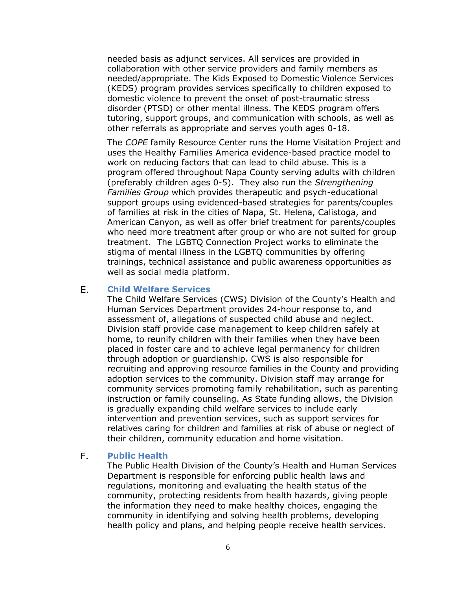needed basis as adjunct services. All services are provided in collaboration with other service providers and family members as needed/appropriate. The Kids Exposed to Domestic Violence Services (KEDS) program provides services specifically to children exposed to domestic violence to prevent the onset of post-traumatic stress disorder (PTSD) or other mental illness. The KEDS program offers tutoring, support groups, and communication with schools, as well as other referrals as appropriate and serves youth ages 0-18.

The *COPE* family Resource Center runs the Home Visitation Project and uses the Healthy Families America evidence-based practice model to work on reducing factors that can lead to child abuse. This is a program offered throughout Napa County serving adults with children (preferably children ages 0-5). They also run the *Strengthening Families Group* which provides therapeutic and psych-educational support groups using evidenced-based strategies for parents/couples of families at risk in the cities of Napa, St. Helena, Calistoga, and American Canyon, as well as offer brief treatment for parents/couples who need more treatment after group or who are not suited for group treatment. The LGBTQ Connection Project works to eliminate the stigma of mental illness in the LGBTQ communities by offering trainings, technical assistance and public awareness opportunities as well as social media platform.

#### <span id="page-7-0"></span>Ε. **Child Welfare Services**

The Child Welfare Services (CWS) Division of the County's Health and Human Services Department provides 24-hour response to, and assessment of, allegations of suspected child abuse and neglect. Division staff provide case management to keep children safely at home, to reunify children with their families when they have been placed in foster care and to achieve legal permanency for children through adoption or guardianship. CWS is also responsible for recruiting and approving resource families in the County and providing adoption services to the community. Division staff may arrange for community services promoting family rehabilitation, such as parenting instruction or family counseling. As State funding allows, the Division is gradually expanding child welfare services to include early intervention and prevention services, such as support services for relatives caring for children and families at risk of abuse or neglect of their children, community education and home visitation.

#### $F_{\perp}$ **Public Health**

The Public Health Division of the County's Health and Human Services Department is responsible for enforcing public health laws and regulations, monitoring and evaluating the health status of the community, protecting residents from health hazards, giving people the information they need to make healthy choices, engaging the community in identifying and solving health problems, developing health policy and plans, and helping people receive health services.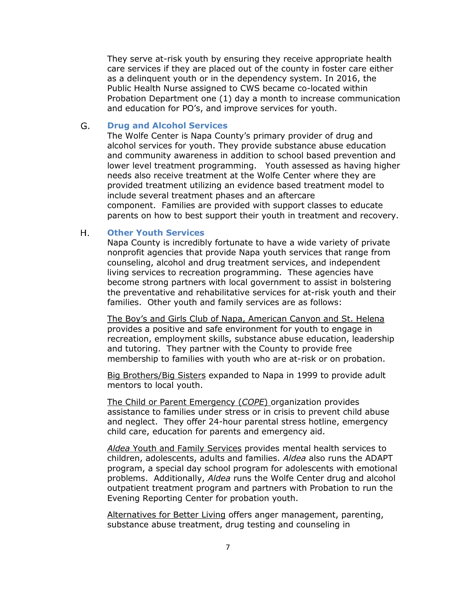They serve at-risk youth by ensuring they receive appropriate health care services if they are placed out of the county in foster care either as a delinquent youth or in the dependency system. In 2016, the Public Health Nurse assigned to CWS became co-located within Probation Department one (1) day a month to increase communication and education for PO's, and improve services for youth.

#### <span id="page-8-0"></span>G. **Drug and Alcohol Services**

The Wolfe Center is Napa County's primary provider of drug and alcohol services for youth. They provide substance abuse education and community awareness in addition to school based prevention and lower level treatment programming. Youth assessed as having higher needs also receive treatment at the Wolfe Center where they are provided treatment utilizing an evidence based treatment model to include several treatment phases and an aftercare component. Families are provided with support classes to educate parents on how to best support their youth in treatment and recovery.

#### <span id="page-8-1"></span> $H_{\star}$ **Other Youth Services**

Napa County is incredibly fortunate to have a wide variety of private nonprofit agencies that provide Napa youth services that range from counseling, alcohol and drug treatment services, and independent living services to recreation programming. These agencies have become strong partners with local government to assist in bolstering the preventative and rehabilitative services for at-risk youth and their families. Other youth and family services are as follows:

The Boy's and Girls Club of Napa, American Canyon and St. Helena provides a positive and safe environment for youth to engage in recreation, employment skills, substance abuse education, leadership and tutoring. They partner with the County to provide free membership to families with youth who are at-risk or on probation.

Big Brothers/Big Sisters expanded to Napa in 1999 to provide adult mentors to local youth.

The Child or Parent Emergency (*COPE*) organization provides assistance to families under stress or in crisis to prevent child abuse and neglect. They offer 24-hour parental stress hotline, emergency child care, education for parents and emergency aid.

*Aldea* Youth and Family Services provides mental health services to children, adolescents, adults and families. *Aldea* also runs the ADAPT program, a special day school program for adolescents with emotional problems. Additionally, *Aldea* runs the Wolfe Center drug and alcohol outpatient treatment program and partners with Probation to run the Evening Reporting Center for probation youth.

Alternatives for Better Living offers anger management, parenting, substance abuse treatment, drug testing and counseling in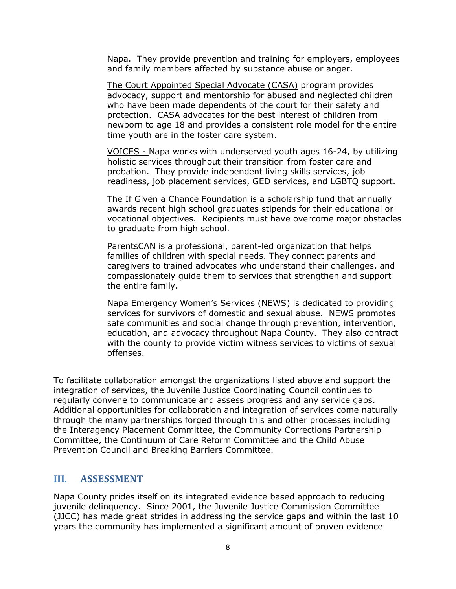Napa. They provide prevention and training for employers, employees and family members affected by substance abuse or anger.

The Court Appointed Special Advocate (CASA) program provides advocacy, support and mentorship for abused and neglected children who have been made dependents of the court for their safety and protection. CASA advocates for the best interest of children from newborn to age 18 and provides a consistent role model for the entire time youth are in the foster care system.

VOICES - Napa works with underserved youth ages 16-24, by utilizing holistic services throughout their transition from foster care and probation. They provide independent living skills services, job readiness, job placement services, GED services, and LGBTQ support.

The If Given a Chance Foundation is a scholarship fund that annually awards recent high school graduates stipends for their educational or vocational objectives. Recipients must have overcome major obstacles to graduate from high school.

ParentsCAN is a professional, parent-led organization that helps families of children with special needs. They connect parents and caregivers to trained advocates who understand their challenges, and compassionately guide them to services that strengthen and support the entire family.

Napa Emergency Women's Services (NEWS) is dedicated to providing services for survivors of domestic and sexual abuse. NEWS promotes safe communities and social change through prevention, intervention, education, and advocacy throughout Napa County. They also contract with the county to provide victim witness services to victims of sexual offenses.

To facilitate collaboration amongst the organizations listed above and support the integration of services, the Juvenile Justice Coordinating Council continues to regularly convene to communicate and assess progress and any service gaps. Additional opportunities for collaboration and integration of services come naturally through the many partnerships forged through this and other processes including the Interagency Placement Committee, the Community Corrections Partnership Committee, the Continuum of Care Reform Committee and the Child Abuse Prevention Council and Breaking Barriers Committee.

## <span id="page-9-0"></span>**III. ASSESSMENT**

Napa County prides itself on its integrated evidence based approach to reducing juvenile delinquency. Since 2001, the Juvenile Justice Commission Committee (JJCC) has made great strides in addressing the service gaps and within the last 10 years the community has implemented a significant amount of proven evidence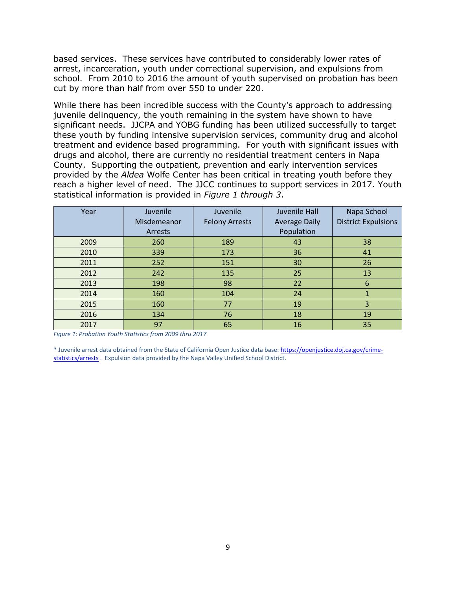based services. These services have contributed to considerably lower rates of arrest, incarceration, youth under correctional supervision, and expulsions from school. From 2010 to 2016 the amount of youth supervised on probation has been cut by more than half from over 550 to under 220.

While there has been incredible success with the County's approach to addressing juvenile delinquency, the youth remaining in the system have shown to have significant needs. JJCPA and YOBG funding has been utilized successfully to target these youth by funding intensive supervision services, community drug and alcohol treatment and evidence based programming. For youth with significant issues with drugs and alcohol, there are currently no residential treatment centers in Napa County. Supporting the outpatient, prevention and early intervention services provided by the *Aldea* Wolfe Center has been critical in treating youth before they reach a higher level of need. The JJCC continues to support services in 2017. Youth statistical information is provided in *Figure 1 through 3*.

| Year | Juvenile    | Juvenile              | Juvenile Hall        | Napa School                |
|------|-------------|-----------------------|----------------------|----------------------------|
|      | Misdemeanor | <b>Felony Arrests</b> | <b>Average Daily</b> | <b>District Expulsions</b> |
|      | Arrests     |                       | Population           |                            |
| 2009 | 260         | 189                   | 43                   | 38                         |
| 2010 | 339         | 173                   | 36                   | 41                         |
| 2011 | 252         | 151                   | 30                   | 26                         |
| 2012 | 242         | 135                   | 25                   | 13                         |
| 2013 | 198         | 98                    | 22                   | 6                          |
| 2014 | 160         | 104                   | 24                   |                            |
| 2015 | 160         | 77                    | 19                   | 3                          |
| 2016 | 134         | 76                    | 18                   | 19                         |
| 2017 | 97          | 65                    | 16                   | 35                         |

*Figure 1: Probation Youth Statistics from 2009 thru 2017*

\* Juvenile arrest data obtained from the State of California Open Justice data base: [https://openjustice.doj.ca.gov/crime](https://openjustice.doj.ca.gov/crime-statistics/arrests)[statistics/arrests](https://openjustice.doj.ca.gov/crime-statistics/arrests) . Expulsion data provided by the Napa Valley Unified School District.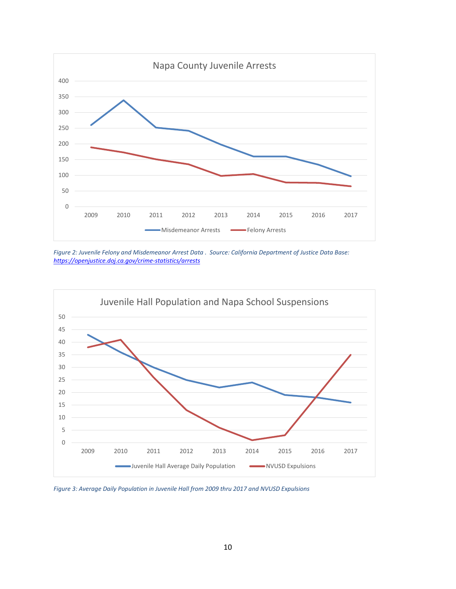

*Figure 2: Juvenile Felony and Misdemeanor Arrest Data . Source: California Department of Justice Data Base: <https://openjustice.doj.ca.gov/crime-statistics/arrests>*



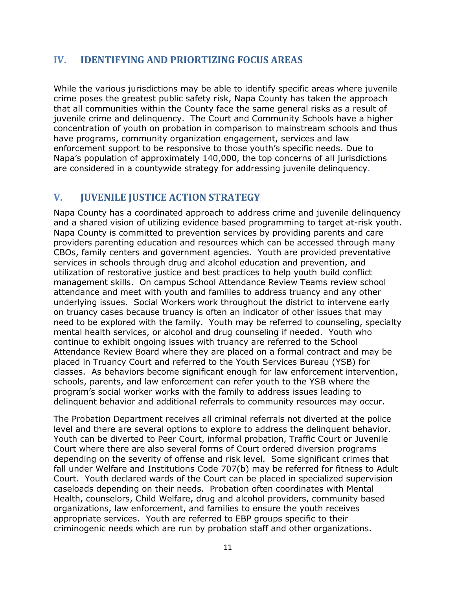## <span id="page-12-0"></span>**IV. IDENTIFYING AND PRIORTIZING FOCUS AREAS**

While the various jurisdictions may be able to identify specific areas where juvenile crime poses the greatest public safety risk, Napa County has taken the approach that all communities within the County face the same general risks as a result of juvenile crime and delinquency. The Court and Community Schools have a higher concentration of youth on probation in comparison to mainstream schools and thus have programs, community organization engagement, services and law enforcement support to be responsive to those youth's specific needs. Due to Napa's population of approximately 140,000, the top concerns of all jurisdictions are considered in a countywide strategy for addressing juvenile delinquency.

## <span id="page-12-1"></span>**V. JUVENILE JUSTICE ACTION STRATEGY**

Napa County has a coordinated approach to address crime and juvenile delinquency and a shared vision of utilizing evidence based programming to target at-risk youth. Napa County is committed to prevention services by providing parents and care providers parenting education and resources which can be accessed through many CBOs, family centers and government agencies. Youth are provided preventative services in schools through drug and alcohol education and prevention, and utilization of restorative justice and best practices to help youth build conflict management skills. On campus School Attendance Review Teams review school attendance and meet with youth and families to address truancy and any other underlying issues. Social Workers work throughout the district to intervene early on truancy cases because truancy is often an indicator of other issues that may need to be explored with the family. Youth may be referred to counseling, specialty mental health services, or alcohol and drug counseling if needed. Youth who continue to exhibit ongoing issues with truancy are referred to the School Attendance Review Board where they are placed on a formal contract and may be placed in Truancy Court and referred to the Youth Services Bureau (YSB) for classes. As behaviors become significant enough for law enforcement intervention, schools, parents, and law enforcement can refer youth to the YSB where the program's social worker works with the family to address issues leading to delinquent behavior and additional referrals to community resources may occur.

The Probation Department receives all criminal referrals not diverted at the police level and there are several options to explore to address the delinquent behavior. Youth can be diverted to Peer Court, informal probation, Traffic Court or Juvenile Court where there are also several forms of Court ordered diversion programs depending on the severity of offense and risk level. Some significant crimes that fall under Welfare and Institutions Code 707(b) may be referred for fitness to Adult Court. Youth declared wards of the Court can be placed in specialized supervision caseloads depending on their needs. Probation often coordinates with Mental Health, counselors, Child Welfare, drug and alcohol providers, community based organizations, law enforcement, and families to ensure the youth receives appropriate services. Youth are referred to EBP groups specific to their criminogenic needs which are run by probation staff and other organizations.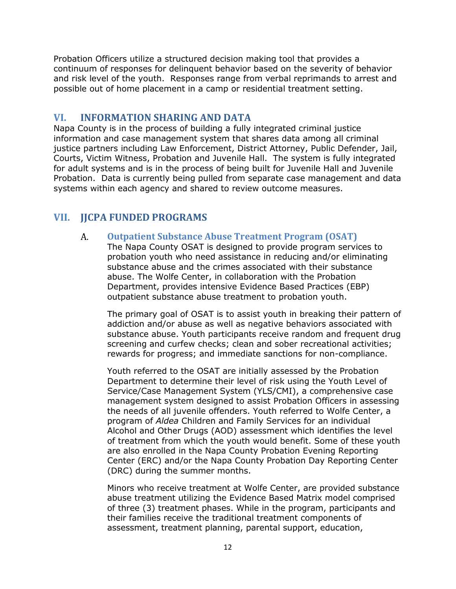Probation Officers utilize a structured decision making tool that provides a continuum of responses for delinquent behavior based on the severity of behavior and risk level of the youth. Responses range from verbal reprimands to arrest and possible out of home placement in a camp or residential treatment setting.

## <span id="page-13-0"></span>**VI. INFORMATION SHARING AND DATA**

Napa County is in the process of building a fully integrated criminal justice information and case management system that shares data among all criminal justice partners including Law Enforcement, District Attorney, Public Defender, Jail, Courts, Victim Witness, Probation and Juvenile Hall. The system is fully integrated for adult systems and is in the process of being built for Juvenile Hall and Juvenile Probation. Data is currently being pulled from separate case management and data systems within each agency and shared to review outcome measures.

## <span id="page-13-2"></span><span id="page-13-1"></span>**VII. JJCPA FUNDED PROGRAMS**

#### $A_{-}$ **Outpatient Substance Abuse Treatment Program (OSAT)**

The Napa County OSAT is designed to provide program services to probation youth who need assistance in reducing and/or eliminating substance abuse and the crimes associated with their substance abuse. The Wolfe Center, in collaboration with the Probation Department, provides intensive Evidence Based Practices (EBP) outpatient substance abuse treatment to probation youth.

The primary goal of OSAT is to assist youth in breaking their pattern of addiction and/or abuse as well as negative behaviors associated with substance abuse. Youth participants receive random and frequent drug screening and curfew checks; clean and sober recreational activities; rewards for progress; and immediate sanctions for non-compliance.

Youth referred to the OSAT are initially assessed by the Probation Department to determine their level of risk using the Youth Level of Service/Case Management System (YLS/CMI), a comprehensive case management system designed to assist Probation Officers in assessing the needs of all juvenile offenders. Youth referred to Wolfe Center, a program of *Aldea* Children and Family Services for an individual Alcohol and Other Drugs (AOD) assessment which identifies the level of treatment from which the youth would benefit. Some of these youth are also enrolled in the Napa County Probation Evening Reporting Center (ERC) and/or the Napa County Probation Day Reporting Center (DRC) during the summer months.

Minors who receive treatment at Wolfe Center, are provided substance abuse treatment utilizing the Evidence Based Matrix model comprised of three (3) treatment phases. While in the program, participants and their families receive the traditional treatment components of assessment, treatment planning, parental support, education,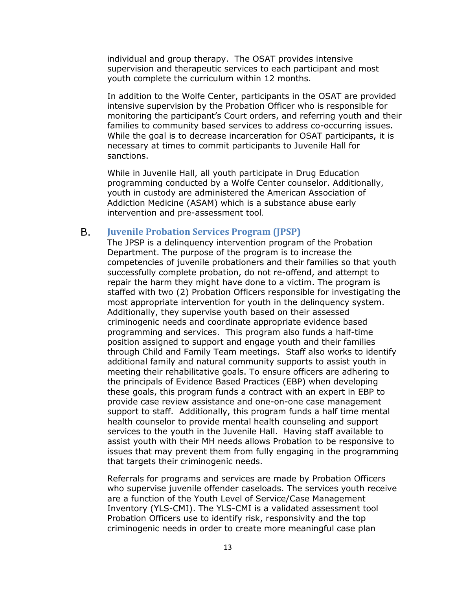individual and group therapy. The OSAT provides intensive supervision and therapeutic services to each participant and most youth complete the curriculum within 12 months.

In addition to the Wolfe Center, participants in the OSAT are provided intensive supervision by the Probation Officer who is responsible for monitoring the participant's Court orders, and referring youth and their families to community based services to address co-occurring issues. While the goal is to decrease incarceration for OSAT participants, it is necessary at times to commit participants to Juvenile Hall for sanctions.

While in Juvenile Hall, all youth participate in Drug Education programming conducted by a Wolfe Center counselor. Additionally, youth in custody are administered the American Association of Addiction Medicine (ASAM) which is a substance abuse early intervention and pre-assessment tool.

#### <span id="page-14-0"></span>**B. Juvenile Probation Services Program (JPSP)**

The JPSP is a delinquency intervention program of the Probation Department. The purpose of the program is to increase the competencies of juvenile probationers and their families so that youth successfully complete probation, do not re-offend, and attempt to repair the harm they might have done to a victim. The program is staffed with two (2) Probation Officers responsible for investigating the most appropriate intervention for youth in the delinquency system. Additionally, they supervise youth based on their assessed criminogenic needs and coordinate appropriate evidence based programming and services. This program also funds a half-time position assigned to support and engage youth and their families through Child and Family Team meetings. Staff also works to identify additional family and natural community supports to assist youth in meeting their rehabilitative goals. To ensure officers are adhering to the principals of Evidence Based Practices (EBP) when developing these goals, this program funds a contract with an expert in EBP to provide case review assistance and one-on-one case management support to staff. Additionally, this program funds a half time mental health counselor to provide mental health counseling and support services to the youth in the Juvenile Hall. Having staff available to assist youth with their MH needs allows Probation to be responsive to issues that may prevent them from fully engaging in the programming that targets their criminogenic needs.

Referrals for programs and services are made by Probation Officers who supervise juvenile offender caseloads. The services youth receive are a function of the Youth Level of Service/Case Management Inventory (YLS-CMI). The YLS-CMI is a validated assessment tool Probation Officers use to identify risk, responsivity and the top criminogenic needs in order to create more meaningful case plan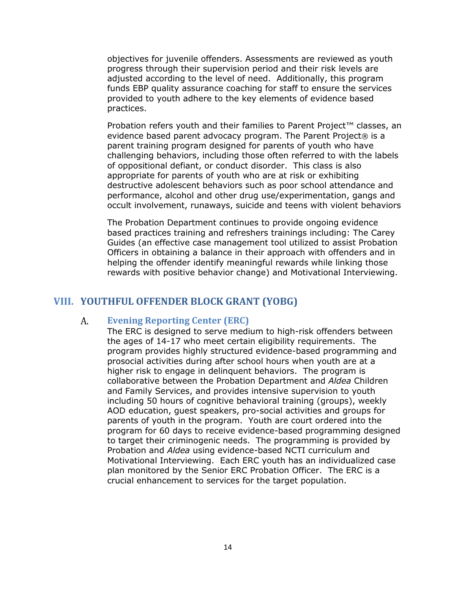objectives for juvenile offenders. Assessments are reviewed as youth progress through their supervision period and their risk levels are adjusted according to the level of need. Additionally, this program funds EBP quality assurance coaching for staff to ensure the services provided to youth adhere to the key elements of evidence based practices.

Probation refers youth and their families to Parent Project™ classes, an evidence based parent advocacy program. The Parent Project® is a parent training program designed for parents of youth who have challenging behaviors, including those often referred to with the labels of oppositional defiant, or conduct disorder. This class is also appropriate for parents of youth who are at risk or exhibiting destructive adolescent behaviors such as poor school attendance and performance, alcohol and other drug use/experimentation, gangs and occult involvement, runaways, suicide and teens with violent behaviors

The Probation Department continues to provide ongoing evidence based practices training and refreshers trainings including: The Carey Guides (an effective case management tool utilized to assist Probation Officers in obtaining a balance in their approach with offenders and in helping the offender identify meaningful rewards while linking those rewards with positive behavior change) and Motivational Interviewing.

## <span id="page-15-1"></span><span id="page-15-0"></span>**VIII. YOUTHFUL OFFENDER BLOCK GRANT (YOBG)**

#### A. **Evening Reporting Center (ERC)**

The ERC is designed to serve medium to high-risk offenders between the ages of 14-17 who meet certain eligibility requirements. The program provides highly structured evidence-based programming and prosocial activities during after school hours when youth are at a higher risk to engage in delinquent behaviors. The program is collaborative between the Probation Department and *Aldea* Children and Family Services, and provides intensive supervision to youth including 50 hours of cognitive behavioral training (groups), weekly AOD education, guest speakers, pro-social activities and groups for parents of youth in the program. Youth are court ordered into the program for 60 days to receive evidence-based programming designed to target their criminogenic needs. The programming is provided by Probation and *Aldea* using evidence-based NCTI curriculum and Motivational Interviewing. Each ERC youth has an individualized case plan monitored by the Senior ERC Probation Officer. The ERC is a crucial enhancement to services for the target population.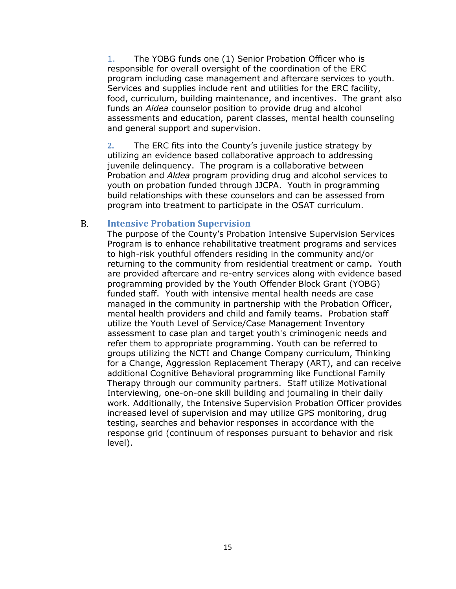1. The YOBG funds one (1) Senior Probation Officer who is responsible for overall oversight of the coordination of the ERC program including case management and aftercare services to youth. Services and supplies include rent and utilities for the ERC facility, food, curriculum, building maintenance, and incentives. The grant also funds an *Aldea* counselor position to provide drug and alcohol assessments and education, parent classes, mental health counseling and general support and supervision.

**2.** The ERC fits into the County's juvenile justice strategy by utilizing an evidence based collaborative approach to addressing juvenile delinquency. The program is a collaborative between Probation and *Aldea* program providing drug and alcohol services to youth on probation funded through JJCPA. Youth in programming build relationships with these counselors and can be assessed from program into treatment to participate in the OSAT curriculum.

#### <span id="page-16-0"></span> $B<sub>1</sub>$ **Intensive Probation Supervision**

The purpose of the County's Probation Intensive Supervision Services Program is to enhance rehabilitative treatment programs and services to high-risk youthful offenders residing in the community and/or returning to the community from residential treatment or camp. Youth are provided aftercare and re-entry services along with evidence based programming provided by the Youth Offender Block Grant (YOBG) funded staff. Youth with intensive mental health needs are case managed in the community in partnership with the Probation Officer, mental health providers and child and family teams. Probation staff utilize the Youth Level of Service/Case Management Inventory assessment to case plan and target youth's criminogenic needs and refer them to appropriate programming. Youth can be referred to groups utilizing the NCTI and Change Company curriculum, Thinking for a Change, Aggression Replacement Therapy (ART), and can receive additional Cognitive Behavioral programming like Functional Family Therapy through our community partners. Staff utilize Motivational Interviewing, one-on-one skill building and journaling in their daily work. Additionally, the Intensive Supervision Probation Officer provides increased level of supervision and may utilize GPS monitoring, drug testing, searches and behavior responses in accordance with the response grid (continuum of responses pursuant to behavior and risk level).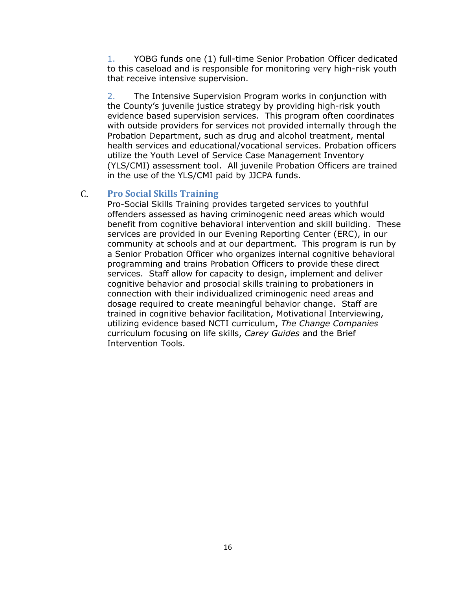1. YOBG funds one (1) full-time Senior Probation Officer dedicated to this caseload and is responsible for monitoring very high-risk youth that receive intensive supervision.

2. The Intensive Supervision Program works in conjunction with the County's juvenile justice strategy by providing high-risk youth evidence based supervision services. This program often coordinates with outside providers for services not provided internally through the Probation Department, such as drug and alcohol treatment, mental health services and educational/vocational services. Probation officers utilize the Youth Level of Service Case Management Inventory (YLS/CMI) assessment tool. All juvenile Probation Officers are trained in the use of the YLS/CMI paid by JJCPA funds.

### <span id="page-17-0"></span> $C_{\cdot}$ **Pro Social Skills Training**

Pro-Social Skills Training provides targeted services to youthful offenders assessed as having criminogenic need areas which would benefit from cognitive behavioral intervention and skill building. These services are provided in our Evening Reporting Center (ERC), in our community at schools and at our department. This program is run by a Senior Probation Officer who organizes internal cognitive behavioral programming and trains Probation Officers to provide these direct services. Staff allow for capacity to design, implement and deliver cognitive behavior and prosocial skills training to probationers in connection with their individualized criminogenic need areas and dosage required to create meaningful behavior change. Staff are trained in cognitive behavior facilitation, Motivational Interviewing, utilizing evidence based NCTI curriculum, *The Change Companies*  curriculum focusing on life skills, *Carey Guides* and the Brief Intervention Tools.